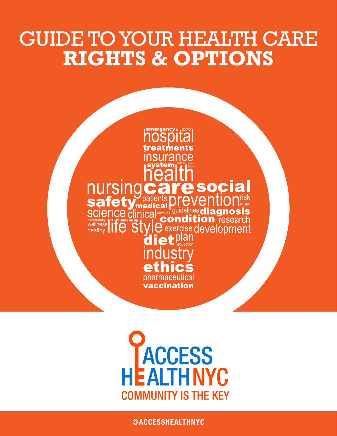# GUIDE TO YOUR HEALTH CARE **RIGHTS & OPTIONS**

# nursir SO Science clinica  $\bm{\Theta}$  exercise d $\bm{\Theta}$ velo

**ACCESS<br>EALTHNYC COMMUNITY IS THE KEY** 

@[ACCESSHEALTHNYC](https://twitter.com/AccessHealthNYC)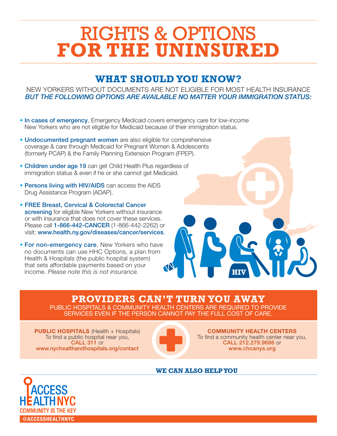## RIGHTS & OPTIONS **FOR THE UNINSURED**

### **WHAT SHOULD YOU KNOW?**

NEW YORKERS WITHOUT DOCUMENTS ARE NOT ELIGIBLE FOR MOST HEALTH INSURANCE *BUT THE FOLLOWING OPTIONS ARE AVAILABLE NO MATTER YOUR IMMIGRATION STATUS:*

- In cases of emergency, Emergency Medicaid covers emergency care for low-income New Yorkers who are not eligible for Medicaid because of their immigration status.
- Undocumented pregnant women are also eligible for comprehensive coverage & care through Medicaid for Pregnant Women & Adolescents (formerly PCAP) & the Family Planning Extension Program (FPEP).
- Children under age 19 can get Child Health Plus regardless of immigration status & even if he or she cannot get Medicaid.
- Persons living with HIV/AIDS can access the AIDS Drug Assistance Program (ADAP).
- FREE Breast, Cervical & Colorectal Cancer screening for eligible New Yorkers without insurance or with insurance that does not cover these services. Please call 1-866-442-CANCER (1-866-442-2262) or visit: [www.health.ny.gov/diseases/cancer/services](https://www.health.ny.gov/diseases/cancer/services/).
- For non-emergency care, New Yorkers who have no documents can use HHC Options, a plan from Health & Hospitals (the public hospital system) that sets affordable payments based on your income. *Please note this is not insurance.*

**PROVIDERS CAN'T TURN YOU AWAY**

PUBLIC HOSPITALS & COMMUNITY HEALTH CENTERS ARE REQUIRED TO PROVIDE SERVICES EVEN IF THE PERSON CANNOT PAY THE FULL COST OF CARE.

**PUBLIC HOSPITALS** (Health + Hospitals) To find a public hospital near you, CALL 311 or [www.nychealthandhospitals.org/contact](http://www.nychealthandhospitals.org/contact/)



COMMUNITY HEALTH CENTERS To find a community health center near you, CALL 212.279.9686 or [www.chcanys.org](http://www.chcanys.org/)

**HIV**

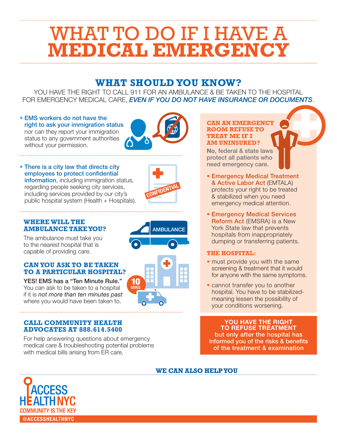## WHAT TO DO IF I HAVE A **MEDICAL EMERGENCY**

### **WHAT SHOULD YOU KNOW?**

YOU HAVE THE RIGHT TO CALL 911 FOR AN AMBULANCE & BE TAKEN TO THE HOSPITAL FOR EMERGENCY MEDICAL CARE, *EVEN IF YOU DO NOT HAVE INSURANCE OR DOCUMENTS*.

#### • EMS workers do not have the right to ask your immigration status nor can they report your immigration status to any government authorities without your permission.



### • There is a city law that directs city employees to protect confidential

information, including immigration status, regarding people seeking city services, including services provided by our city's public hospital system (Health + Hospitals).



**AMBULANCE** 

**10** 

### **WHERE WILL THE AMBULANCE TAKE YOU?**

The ambulance must take you to the nearest hospital that is capable of providing care.

### **CAN YOU ASK TO BE TAKEN TO A PARTICULAR HOSPITAL?**

YES! EMS has a "Ten Minute Rule." You can ask to be taken to a hospital if it is *not more than ten minutes past* where you would have been taken to.

#### **CALL COMMUNITY HEALTH ADVOCATES AT 888.614.5400**

For help answering questions about emergency medical care & troubleshooting potential problems with medical bills arising from ER care.

#### **CAN AN EMERGENCY ROOM REFUSE TO TREAT ME IF I AM UNINSURED?**

No, federal & state laws protect all patients who need emergency care.

- Emergency Medical Treatment & Active Labor Act (EMTALA) protects your right to be treated & stabilized when you need emergency medical attention.
- Emergency Medical Services Reform Act (EMSRA) is a New York State law that prevents hospitals from inappropriately dumping or transferring patients.

### **THE HOSPITAL:**

- must provide you with the same screening & treatment that it would for anyone with the same symptoms.
- cannot transfer you to another hospital. You have to be stabilizedmeaning lessen the possibility of your conditions worsening.

YOU HAVE THE RIGHT TO REFUSE TREATMENT but only after the hospital has informed you of the risks & benefits of the treatment & examination

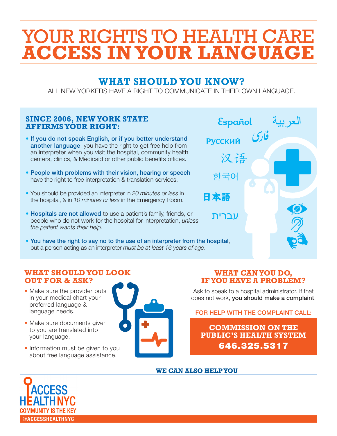# YOUR RIGHTS TO HEALTH CARE **ACCESS IN YOUR LANGUAGE**

### **WHAT SHOULD YOU KNOW?**

ALL NEW YORKERS HAVE A RIGHT TO COMMUNICATE IN THEIR OWN LANGUAGE.

### **SINCE 2006, NEW YORK STATE AFFIRMS YOUR RIGHT:**

- If you do not speak English, or if you better understand another language, you have the right to get free help from an interpreter when you visit the hospital, community health centers, clinics, & Medicaid or other public benefits offices.
- People with problems with their vision, hearing or speech have the right to free interpretation & translation services.
- You should be provided an interpreter in *20 minutes or less* in the hospital, & in *10 minutes or less* in the Emergency Room.
- Hospitals are not allowed to use a patient's family, friends, or people who do not work for the hospital for interpretation, *unless the patient wants their help.*
- You have the right to say no to the use of an interpreter from the hospital, but a person acting as an interpreter *must be at least 16 years of age*.



### **WHAT SHOULD YOU LOOK OUT FOR & ASK?**

- Make sure the provider puts in your medical chart your preferred language & language needs.
- Make sure documents given to you are translated into your language.
- Information must be given to you about free language assistance.



### **WHAT CAN YOU DO, IF YOU HAVE A PROBLEM?**

Ask to speak to a hospital administrator. If that does not work, you should make a complaint.

FOR HELP WITH THE COMPLAINT CALL:

**COMMISSION ON THE PUBLIC'S HEALTH SYSTEM** 646.325.5317

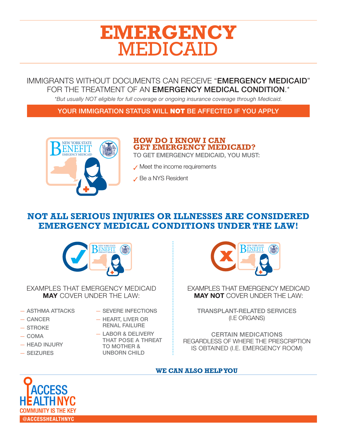### **EMERGENCY**  MEDICAID

### IMMIGRANTS WITHOUT DOCUMENTS CAN RECEIVE "EMERGENCY MEDICAID" FOR THE TREATMENT OF AN EMERGENCY MEDICAL CONDITION.<sup>\*</sup>

*\*But usually NOT eligible for full coverage or ongoing insurance coverage through Medicaid.*

YOUR IMMIGRATION STATUS WILL NOT BE AFFECTED IF YOU APPLY



### **HOW DO I KNOW I CAN GET EMERGENCY MEDICAID?**

TO GET EMERGENCY MEDICAID, YOU MUST:

✓ Meet the income requirements

✓ Be a NYS Resident

### **NOT ALL SERIOUS INJURIES OR ILLNESSES ARE CONSIDERED EMERGENCY MEDICAL CONDITIONS UNDER THE LAW!**



EXAMPLES THAT EMERGENCY MEDICAID MAY COVER UNDER THE LAW:

- ASTHMA ATTACKS
- CANCER
- STROKE
- COMA
- HEAD INJURY
- SEIZURES
- SEVERE INFECTIONS
- HEART, LIVER OR RENAL FAILURE
- LABOR & DELIVERY THAT POSE A THREAT TO MOTHER & UNBORN CHILD



EXAMPLES THAT EMERGENCY MEDICAID MAY NOT COVER UNDER THE LAW:

TRANSPLANT-RELATED SERVICES (I.E ORGANS)

CERTAIN MEDICATIONS REGARDLESS OF WHERE THE PRESCRIPTION IS OBTAINED (I.E. EMERGENCY ROOM)

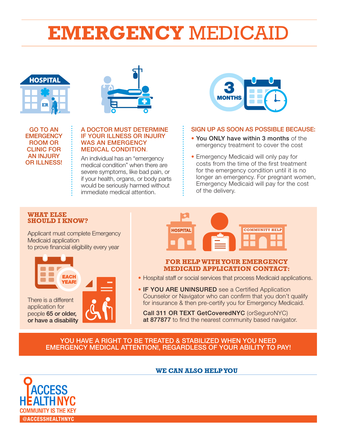# **EMERGENCY** MEDICAID





GO TO AN **EMERGENCY** ROOM OR CLINIC FOR AN INJURY OR ILLNESS!

#### A DOCTOR MUST DETERMINE IF YOUR ILLNESS OR INJURY WAS AN EMERGENCY MEDICAL CONDITION.

An individual has an "emergency medical condition" when there are severe symptoms, like bad pain, or if your health, organs, or body parts would be seriously harmed without immediate medical attention.



#### SIGN UP AS SOON AS POSSIBLE BECAUSE:

- You ONLY have within 3 months of the emergency treatment to cover the cost
- Emergency Medicaid will only pay for costs from the time of the first treatment for the emergency condition until it is no longer an emergency. For pregnant women, Emergency Medicaid will pay for the cost of the delivery.

#### **WHAT ELSE SHOULD I KNOW?**

Applicant must complete Emergency Medicaid application to prove financial eligibility every year



There is a different application for people 65 or older, or have a disability



#### **FOR HELP WITH YOUR EMERGENCY MEDICAID APPLICATION CONTACT:**

- Hospital staff or social services that process Medicaid applications.
- IF YOU ARE UNINSURED see a Certified Application Counselor or Navigator who can confirm that you don't qualify for insurance & then pre-certify you for Emergency Medicaid.

Call 311 OR TEXT GetCoveredNYC (orSeguroNYC) at 877877 to find the nearest community based navigator.

### YOU HAVE A RIGHT TO BE TREATED & STABILIZED WHEN YOU NEED EMERGENCY MEDICAL ATTENTION!, REGARDLESS OF YOUR ABILITY TO PAY!

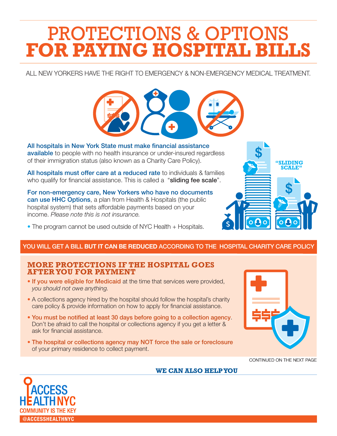## PROTECTIONS & OPTIONS **FOR PAYING HOSPITAL BILLS**

ALL NEW YORKERS HAVE THE RIGHT TO EMERGENCY & NON-EMERGENCY MEDICAL TREATMENT.



All hospitals in New York State must make financial assistance available to people with no health insurance or under-insured regardless of their immigration status (also known as a Charity Care Policy).

All hospitals must offer care at a reduced rate to individuals & families who qualify for financial assistance. This is called a "sliding fee scale".

For non-emergency care, New Yorkers who have no documents can use HHC Options, a plan from Health & Hospitals (the public hospital system) that sets affordable payments based on your income. *Please note this is not insurance.* 

• The program cannot be used outside of NYC Health + Hospitals.

### YOU WILL GET A BILL BUT IT CAN BE REDUCED ACCORDING TO THE HOSPITAL CHARITY CARE POLICY

### **MORE PROTECTIONS IF THE HOSPITAL GOES AFTER YOU FOR PAYMENT**

- If you were eligible for Medicaid at the time that services were provided, *you should not owe anything.*
- A collections agency hired by the hospital should follow the hospital's charity care policy & provide information on how to apply for financial assistance.
- You must be notified at least 30 days before going to a collection agency. Don't be afraid to call the hospital or collections agency if you get a letter & ask for financial assistance.
- The hospital or collections agency may NOT force the sale or foreclosure of your primary residence to collect payment.



**"SLIDING SCALE"**

CONTINUED ON THE NEXT PAGE